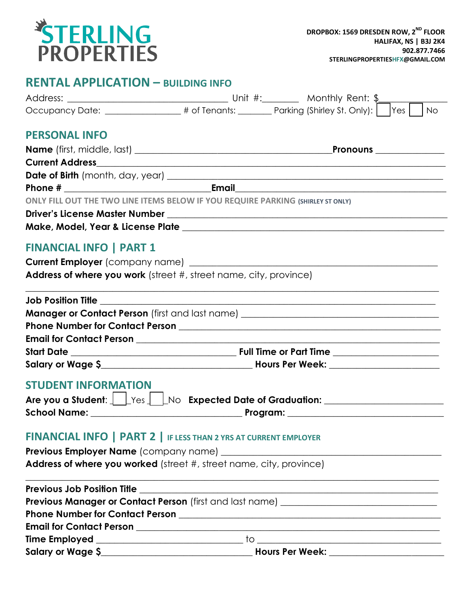

### **RENTAL APPLICATION – BUILDING INFO**

|                                                                                 | Occupancy Date: _______________# of Tenants: ________ Parking (Shirley St. Only):    Yes                       | <b>No</b> |
|---------------------------------------------------------------------------------|----------------------------------------------------------------------------------------------------------------|-----------|
| <b>PERSONAL INFO</b>                                                            |                                                                                                                |           |
|                                                                                 |                                                                                                                |           |
|                                                                                 |                                                                                                                |           |
|                                                                                 |                                                                                                                |           |
|                                                                                 |                                                                                                                |           |
| ONLY FILL OUT THE TWO LINE ITEMS BELOW IF YOU REQUIRE PARKING (SHIRLEY ST ONLY) |                                                                                                                |           |
|                                                                                 |                                                                                                                |           |
|                                                                                 |                                                                                                                |           |
| <b>FINANCIAL INFO   PART 1</b>                                                  |                                                                                                                |           |
|                                                                                 |                                                                                                                |           |
| Address of where you work (street #, street name, city, province)               |                                                                                                                |           |
|                                                                                 |                                                                                                                |           |
|                                                                                 |                                                                                                                |           |
|                                                                                 |                                                                                                                |           |
|                                                                                 |                                                                                                                |           |
|                                                                                 |                                                                                                                |           |
|                                                                                 |                                                                                                                |           |
|                                                                                 |                                                                                                                |           |
| <b>STUDENT INFORMATION</b>                                                      |                                                                                                                |           |
|                                                                                 | Are you a Student: 1 Fres 1 Allo Expected Date of Graduation: 1 Allower 2010                                   |           |
|                                                                                 |                                                                                                                |           |
|                                                                                 |                                                                                                                |           |
| <b>FINANCIAL INFO   PART 2   IF LESS THAN 2 YRS AT CURRENT EMPLOYER</b>         |                                                                                                                |           |
|                                                                                 |                                                                                                                |           |
| Address of where you worked (street #, street name, city, province)             |                                                                                                                |           |
| <b>Previous Job Position Title</b>                                              | <u> 1980 - John Stein, Amerikaansk politiker (* 1980)</u>                                                      |           |
|                                                                                 | Previous Manager or Contact Person (first and last name) _______________________                               |           |
|                                                                                 |                                                                                                                |           |
|                                                                                 |                                                                                                                |           |
|                                                                                 |                                                                                                                |           |
|                                                                                 | Hours Per Week: Next State State State State State State State State State State State State State State State |           |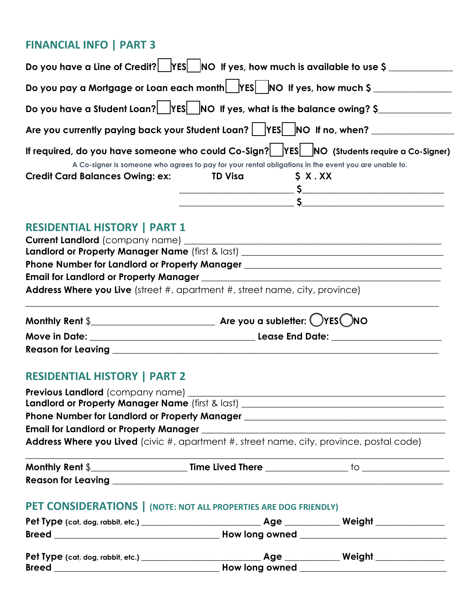## **FINANCIAL INFO | PART 3**

| Do you have a Line of Credit?   $ YES $  NO If yes, how much is available to use \$                                                                    |                |                                                                                                      |
|--------------------------------------------------------------------------------------------------------------------------------------------------------|----------------|------------------------------------------------------------------------------------------------------|
| Do you pay a Mortgage or Loan each month $\operatorname{\mathsf{hess}}\nolimits[\operatorname{\mathsf{N}\mathsf{o}}\nolimits$ if yes, how much \$ $\_$ |                |                                                                                                      |
| Do you have a Student Loan? $\boxed{\phantom{\text{y}}\text{YES}}$ NO If yes, what is the balance owing? \$                                            |                |                                                                                                      |
| Are you currently paying back your Student Loan?    YES   NO If no, when? __                                                                           |                |                                                                                                      |
|                                                                                                                                                        |                | If required, do you have someone who could Co-Sign?   YES   NO (Students require a Co-Signer)        |
|                                                                                                                                                        |                | A Co-signer is someone who agrees to pay for your rental obligations in the event you are unable to. |
| <b>Credit Card Balances Owing: ex:</b>                                                                                                                 | <b>TD Visa</b> | S X. XX                                                                                              |
|                                                                                                                                                        |                |                                                                                                      |
|                                                                                                                                                        |                |                                                                                                      |
|                                                                                                                                                        |                |                                                                                                      |

# **RESIDENTIAL HISTORY | PART 1**

| <b>Current Landlord</b> (company name) ____                                        |
|------------------------------------------------------------------------------------|
| Landlord or Property Manager Name (first & last) _                                 |
| <b>Phone Number for Landlord or Property Manager</b>                               |
| <b>Email for Landlord or Property Manager</b>                                      |
| <b>Address Where you Live</b> (street #, apartment #, street name, city, province) |
|                                                                                    |

| Monthly Rent $\$          | Are you a subletter: $\bigcirc$ YES $\bigcirc$ NO |
|---------------------------|---------------------------------------------------|
| <b>Move in Date:</b>      | Lease End Date:                                   |
| <b>Reason for Leaving</b> |                                                   |

# **RESIDENTIAL HISTORY | PART 2**

| <b>Previous Landlord</b> (company name)                                                         |  |
|-------------------------------------------------------------------------------------------------|--|
| Landlord or Property Manager Name (first & last)                                                |  |
| <b>Phone Number for Landlord or Property Manager</b>                                            |  |
| <b>Email for Landlord or Property Manager</b>                                                   |  |
| <b>Address Where you Lived</b> (civic #, apartment #, street name, city, province, postal code) |  |

| <b>Monthly Rent \$</b>    | <b>Time Lived There</b> |  |
|---------------------------|-------------------------|--|
| <b>Reason for Leaving</b> |                         |  |

# **PET CONSIDERATIONS | (NOTE: NOT ALL PROPERTIES ARE DOG FRIENDLY)**

| Pet Type (cat, dog, rabbit, etc.) | Age            | Weight |  |
|-----------------------------------|----------------|--------|--|
| <b>Breed</b>                      | How long owned |        |  |
| Pet Type (cat, dog, rabbit, etc.) | Age            | Weight |  |
| <b>Breed</b>                      | How long owned |        |  |